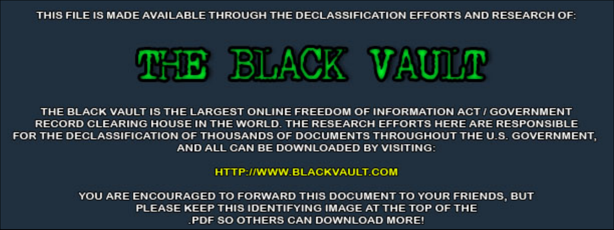THIS FILE IS MADE AVAILABLE THROUGH THE DECLASSIFICATION EFFORTS AND RESEARCH OF:



THE BLACK VAULT IS THE LARGEST ONLINE FREEDOM OF INFORMATION ACT / GOVERNMENT RECORD CLEARING HOUSE IN THE WORLD. THE RESEARCH EFFORTS HERE ARE RESPONSIBLE FOR THE DECLASSIFICATION OF THOUSANDS OF DOCUMENTS THROUGHOUT THE U.S. GOVERNMENT, AND ALL CAN BE DOWNLOADED BY VISITING:

**HTTP://WWW.BLACKVAULT.COM** 

YOU ARE ENCOURAGED TO FORWARD THIS DOCUMENT TO YOUR FRIENDS, BUT PLEASE KEEP THIS IDENTIFYING IMAGE AT THE TOP OF THE PDF SO OTHERS CAN DOWNLOAD MORE!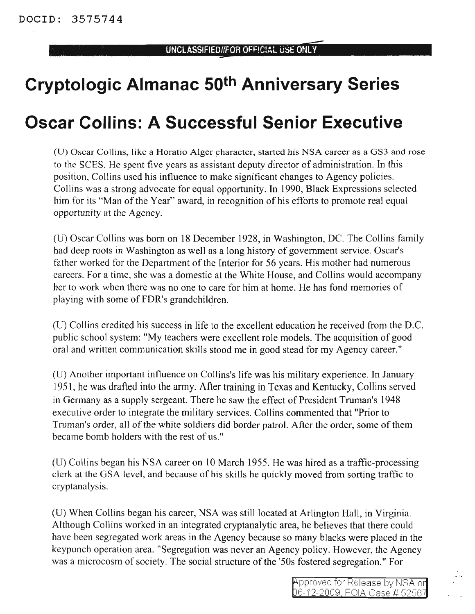## **Cryptologic Almanac 50th Anniversary Series**

## **Oscar Collins: A Successful Senior Executive**

(U) Oscar Collins, like a Horatio Alger character, started his NSA career as a OS3 and rose to the SCES. He spent five years as assistant deputy director of administration. In this position, Collins used his influence to make significant changes to Agency policies. Collins was a strong advocate for equal opportunity. In 1990, Black Expressions selected him for its "Man of the Year" award, in recognition of his efforts to promote real equal opportunity at the Agency.

(U) Oscar Collins was born on 18 December 1928, in Washington, DC. The Collins family had deep roots in Washington as well as a long history of government service. Oscar's father worked for the Department of the Interior for 56 years. His mother had numerous careers. For a time, she was a domestic at the White House, and Collins would accompany her to work when there was no one to care for him at home. He has fond memories of playing with some ofFDR's grandchildren.

(D) Collins credited his success in life to the excellent education he received from the D.C. public school system: "My teachers were excellent role models. The acquisition of good oral and written communication skills stood me in good stead for my Agency career."

(D) Another important influence on Collins's life was his military experience. In January 1951, he was drafted into the army. After training in Texas and Kentucky, Collins served in Germany as a supply sergeant. There he saw the effect of President Truman's 1948 executive order to integrate the military services. Collins commented that "Prior to Truman's order, all of the white soldiers did border patrol. After the order, some of them became bomb holders with the rest of us."

(0) Collins began his NSA career on 10 March 1955. He was hired as a traffic-processing clerk at the GSA level, and because of his skills he quickly moved from sorting traffic to cryptanalysis.

(U) When Collins began his career, NSA was still located at Arlington Hall, in Virginia. Although Collins worked in an integrated cryptanalytic area, he believes that there could have been segregated work areas in the Agency because so many blacks were placed in the keypunch operation area. "Segregation was never an Agency policy. However, the Agency was a microcosm of society. The social structure of the '50s fostered segregation." For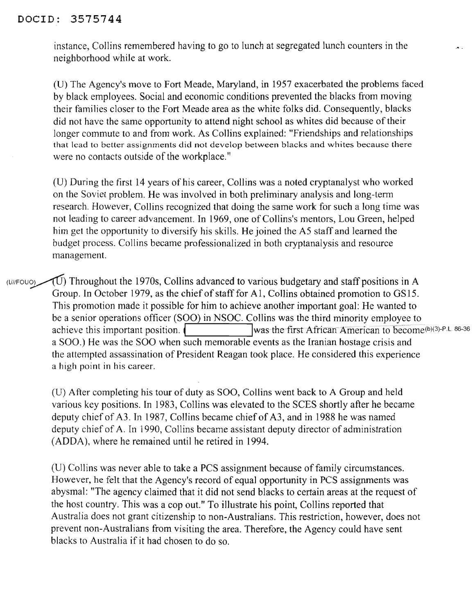## DOClD: 3575744

instance, Collins remembered having to go to lunch at segregated lunch counters in the neighborhood while at work.

(U) The Agency's move to Fort Meade, Maryland, in 1957 exacerbated the problems faced by black employees. Social and economic conditions prevented the blacks from moving their famihes closer to the Fort Meade area as the white folks did. Consequently, blacks did not have the same opportunity to attend night school as whites did because of their longer commute to and from work. As Collins explained: "Friendships and relationships that lead to better assignments did not develop between blacks and whites because there were no contacts outside of the workplace."

(U) During the first 14 years of his career, Collins was a noted cryptanalyst who worked on the Soviet problem. He was involved in both preliminary analysis and long-term research. However, Collins recognized that doing the same work for such a long time was not leading to career advancement. In 1969, one of Collins's mentors, Lou Green, helped him get the opportunity to diversify his skills. He joined the AS staff and learned the budget process. Collins became professionalized in both cryptanalysis and resource management.

(U//FOUO) Throughout the 1970s, Collins advanced to various budgetary and staff positions in A Group. In October 1979, as the chief of staff for A1, Collins obtained promotion to GS15. This promotion made it possible for him to achieve another important goal: He wanted to be a senior operations officer (SOO) in NSOC. Collins was the third minority employee to achieve this important position. the first African American to become(b)(3)-P.L. 86-36 a SOO.) He was the SOO when such memorable events as the Iranian hostage crisis and the attempted assassination of President Reagan took place. He considered this experience a high point in his career.

(U) After completing his tour of duty as SOO, Collins went back to A Group and held various key positions. In 1983, Collins was elevated to the SCES shortly after he became deputy chief of A3. In 1987, Collins became chief of A3, and in 1988 he was named deputy chief of A. In 1990, Collins became assistant deputy director of administration (ADDA), where he remained until he retired in 1994.

(U) Collins was never able to take a PCS assignment because of family circumstances. However, he felt that the Agency's record of equal opportunity in PCS assignments was abysmal: "The agency claimed that it did not send blacks to certain areas at the request of the host country. This was a cop out." To illustrate his point, Collins reported that Australia does not grant citizenship to non-Australians. This restriction, however, does not prevent non-Australians from visiting the area. Therefore, the Agency could have sent blacks to Australia if it had chosen to do so.